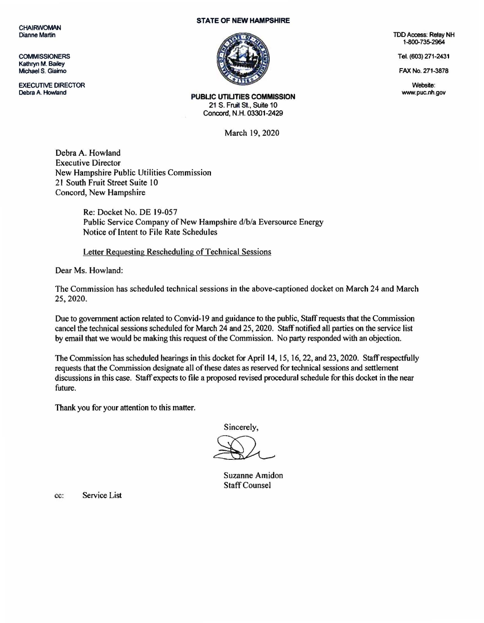**CHAIRWOMAN** Dianne Martin

**COMMISSIONERS** Kathryn M. Bailey Michael S. Giaimo

EXECUTIVE DIRECTOR Debra A. Howland

## STATE OF NEW HAMPSHIRE



TDD Access: Relay NH 1-800-735-2964

Tel. (603) 271-2431

FAX No. 271-3878

Website; www.puc.nh.gov

PUBLIC UTILITIES COMMISSION 21 S. Fruit St., Suite 10 Concord, N.H. 03301-2429

March 19, 2020

Debra A. Howland Executive Director New Hampshire Public Utilities Commission 21 South Fruit Street Suite 10 Concord, New Hampshire

> Re: Docket No. DE 19-057 Public Service Company of New Hampshire d/b/a Eversource Energy Notice of Intent to File Rate Schedules

Letter Reguesting Rescheduling of Technical Sessions

Dear Ms. Howland:

The Commission has scheduled technical sessions in the above-captioned docket on March 24 and March 25. 2020.

Due to government action related to Convid· 19 and guidance to the public, Staff requests that the Commission cancel the technical sessions scheduled for March 24 and 25, 2020. Staff notified all parties on the service list by email that we would be making this request of the Commission. No party responded with an objection.

The Commission has scheduled hearings in this docket for April 14, 15, 16, 22, and 23, 2020. Staff respectfully requests that the Commission designate all of these dates as reserved for technical sessions and settlement discussions in this case. Staff expects to file a proposed revised procedural schedule for this docket in the near future.

Thank you for your attention to this matter.

Sincerely,

Suzanne Amidon Staff Counsel

cc: Service List